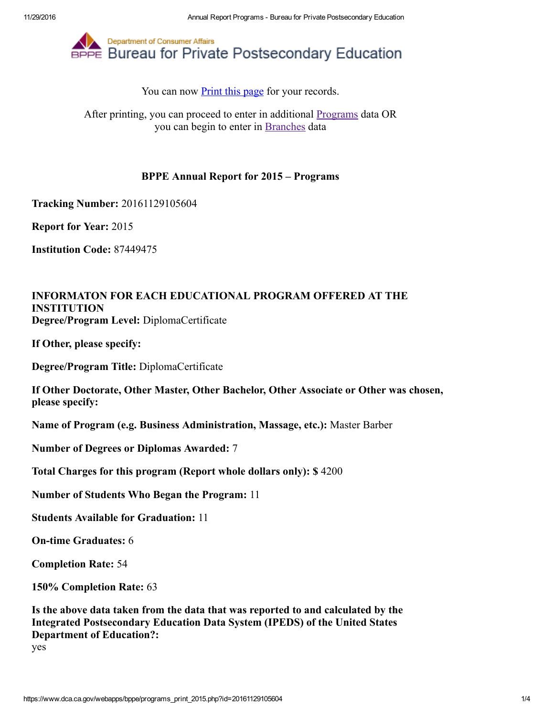

You can now **Print this page** for your records.

After printing, you can proceed to enter in additional [Programs](https://www.dca.ca.gov/webapps/bppe/report_programs_2015.php) data OR you can begin to enter in [Branches](https://www.dca.ca.gov/webapps/bppe/report_branches_2015.php) data

## BPPE Annual Report for 2015 – Programs

Tracking Number: 20161129105604

Report for Year: 2015

Institution Code: 87449475

## INFORMATON FOR EACH EDUCATIONAL PROGRAM OFFERED AT THE INSTITUTION Degree/Program Level: DiplomaCertificate

If Other, please specify:

Degree/Program Title: DiplomaCertificate

If Other Doctorate, Other Master, Other Bachelor, Other Associate or Other was chosen, please specify:

Name of Program (e.g. Business Administration, Massage, etc.): Master Barber

Number of Degrees or Diplomas Awarded: 7

Total Charges for this program (Report whole dollars only): \$ 4200

Number of Students Who Began the Program: 11

Students Available for Graduation: 11

**On-time Graduates: 6** 

Completion Rate: 54

150% Completion Rate: 63

Is the above data taken from the data that was reported to and calculated by the Integrated Postsecondary Education Data System (IPEDS) of the United States Department of Education?:

yes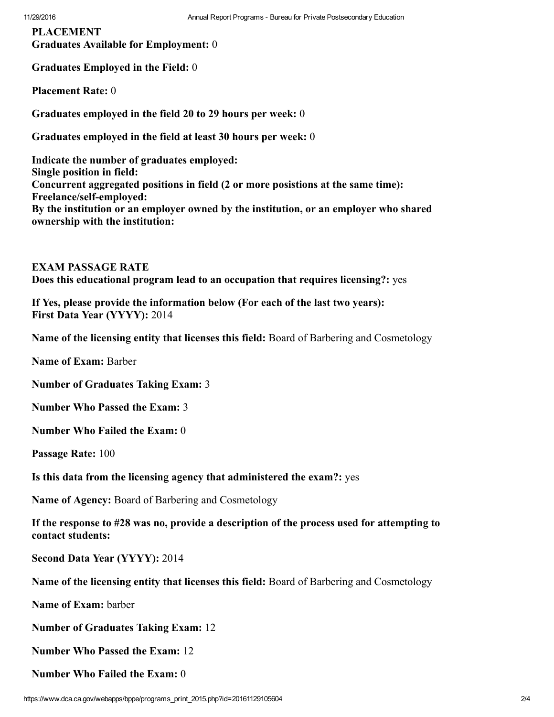PLACEMENT Graduates Available for Employment: 0

Graduates Employed in the Field: 0

Placement Rate: 0

Graduates employed in the field 20 to 29 hours per week: 0

Graduates employed in the field at least 30 hours per week: 0

Indicate the number of graduates employed: Single position in field: Concurrent aggregated positions in field (2 or more posistions at the same time): Freelance/self-employed: By the institution or an employer owned by the institution, or an employer who shared ownership with the institution:

EXAM PASSAGE RATE Does this educational program lead to an occupation that requires licensing?: yes

If Yes, please provide the information below (For each of the last two years): First Data Year (YYYY): 2014

Name of the licensing entity that licenses this field: Board of Barbering and Cosmetology

Name of Exam: Barber

Number of Graduates Taking Exam: 3

Number Who Passed the Exam: 3

Number Who Failed the Exam: 0

Passage Rate: 100

Is this data from the licensing agency that administered the exam?: yes

Name of Agency: Board of Barbering and Cosmetology

If the response to #28 was no, provide a description of the process used for attempting to contact students:

Second Data Year (YYYY): 2014

Name of the licensing entity that licenses this field: Board of Barbering and Cosmetology

Name of Exam: barber

Number of Graduates Taking Exam: 12

Number Who Passed the Exam: 12

Number Who Failed the Exam: 0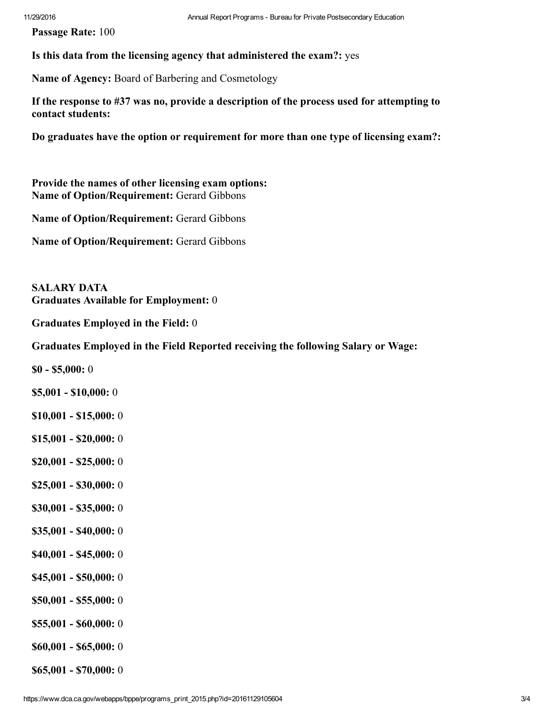Passage Rate: 100

Is this data from the licensing agency that administered the exam?: yes

Name of Agency: Board of Barbering and Cosmetology

If the response to #37 was no, provide a description of the process used for attempting to contact students:

Do graduates have the option or requirement for more than one type of licensing exam?:

Provide the names of other licensing exam options: Name of Option/Requirement: Gerard Gibbons

Name of Option/Requirement: Gerard Gibbons

Name of Option/Requirement: Gerard Gibbons

SALARY DATA Graduates Available for Employment: 0

Graduates Employed in the Field: 0

Graduates Employed in the Field Reported receiving the following Salary or Wage:

 $$0 - $5,000:0$ 

- $$5,001 $10,000:0$
- $$10,001 $15,000:0$
- $$15,001 $20,000:0$
- $$20,001 $25,000:0$
- $$25,001 $30,000:0$
- $$30,001 $35,000:0$
- $$35,001 $40,000:0$
- $$40,001 $45,000:0$
- $$45,001 $50,000:0$
- $$50,001 $55,000:0$
- $$55,001 $60,000:0$
- $$60,001 $65,000:0$
- $$65,001 $70,000:0$